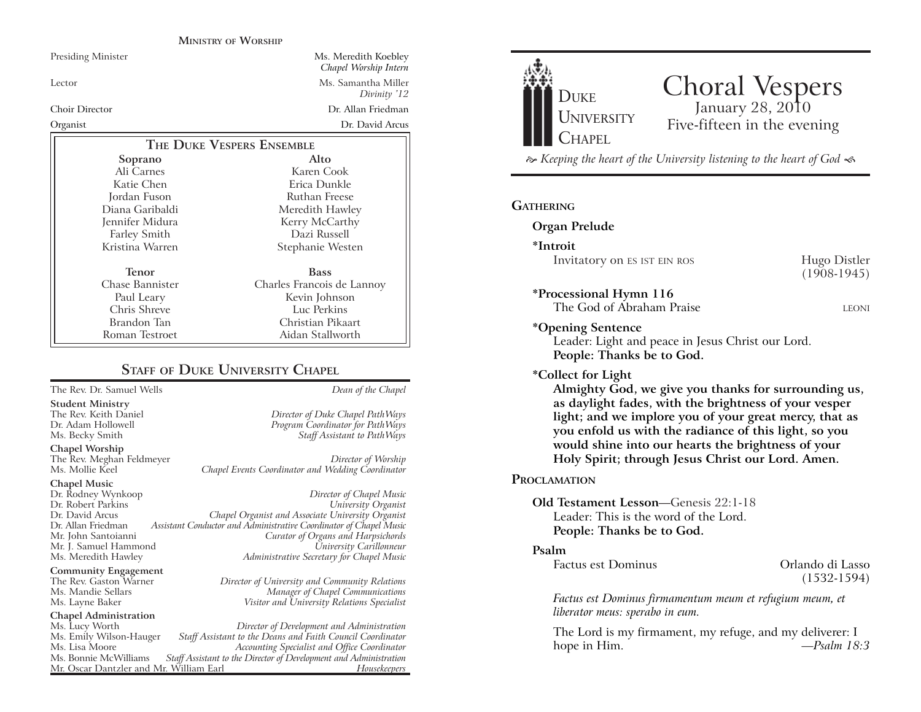### **MINISTRY OF WORSHIP**

| <b>Presiding Minister</b> | Ms. Meredith Koebley<br>Chapel Worship Intern |
|---------------------------|-----------------------------------------------|
| Lector                    | Ms. Samantha Miller<br>Divinity '12           |
| <b>Choir Director</b>     | Dr. Allan Friedman                            |
| Organist                  | Dr. David Arcus                               |
| THE DUKE VESPERS ENSEMBLE |                                               |
| Soprano                   | Alto                                          |
| Ali Carnes                | Karen Cook                                    |
| Katie Chen                | Erica Dunkle                                  |
| Jordan Fuson              | Ruthan Freese                                 |
| Diana Garibaldi           | Meredith Hawley                               |
| Jennifer Midura           | Kerry McCarthy                                |
| Farley Smith              | Dazi Russell                                  |
| Kristina Warren           | Stephanie Westen                              |
| Tenor                     | <b>Bass</b>                                   |
| Chase Bannister           | Charles Francois de Lannoy                    |
| Paul Leary                | Kevin Johnson                                 |
| Chris Shreve              | Luc Perkins                                   |
| Brandon Tan               | Christian Pikaart                             |
| Roman Testroet            | Aidan Stallworth                              |

# **STAFF OF DUKE UNIVERSITY CHAPEL**

The Rev. Dr. Samuel Wells *Dean of the Chapel*

**Student Ministry** The Rev. Keith Daniel *Director of Duke Chapel PathWays* Ms. Becky Smith *Staff Assistant to PathWays*

The Rev. Meghan Feldmeyer *Director of Worship* Chapel Events Coordinator and Wedding Coordinator

### **Chapel Music**

Dr. Rodney Wynkoop *Director of Chapel Music* Dr. Robert Parkins *University Organist* Dr. Allan Friedman *Assistant Conductor and Administrative Coordinator of Chapel Music* Mr. J. Samuel Hammond Ms. Meredith Hawley *Administrative Secretary for Chapel Music*

The Rev. Gaston Warner *Director of University and Community Relations* Ms. Mandie Sellars *Manager of Chapel Communications* Ms. Layne Baker *Visitor and University Relations Specialist*

Ms. Lucy Worth *Director of Development and Administration* Ms. Emily Wilson-Hauger *Staff Assistant to the Deans and Faith Council Coordinator* Ms. Lisa Moore *Accounting Specialist and Office Coordinator* Staff Assistant to the Director of Development and Administration<br>Fassistant Director of Development and *Housekeepers* Mr. Oscar Dantzler and Mr. William Earl

Dr. David Arcus *Chapel Organist and Associate University Organist*



# Choral Vespers January 28, 2010 Five-fifteen in the evening

 *Keeping the heart of the University listening to the heart of God* 

# **GATHERING**

# **Organ Prelude**

**\*Introit** Invitatory on ES IST EIN ROS Hugo Distler

(1908-1945)

### **\*Processional Hymn 116**

The God of Abraham Praise **LEONI** 

### **\*Opening Sentence**

Leader: Light and peace in Jesus Christ our Lord. **People: Thanks be to God.**

# **\*Collect for Light**

**Almighty God, we give you thanks for surrounding us, as daylight fades, with the brightness of your vesper light; and we implore you of your great mercy, that as you enfold us with the radiance of this light, so you would shine into our hearts the brightness of your Holy Spirit; through Jesus Christ our Lord. Amen.** 

### **PROCLAMATION**

# **Old Testament Lesson**—Genesis 22:1-18 Leader: This is the word of the Lord.**People: Thanks be to God.**

### **Psalm**

| <b>Factus est Dominus</b> |  |
|---------------------------|--|
|---------------------------|--|

Orlando di Lasso (1532-1594)

*Factus est Dominus firmamentum meum et refugium meum, et liberator meus: sperabo in eum.*

The Lord is my firmament, my refuge, and my deliverer: I hope in Him. *—Psalm 18:3*

Program Coordinator for PathWays

Mr. John Santoianni *Curator of Organs and Harpsichords*

**Chapel Worship**

# **Community Engagement**<br>The Rev. Gaston Warner

**Chapel Administration**